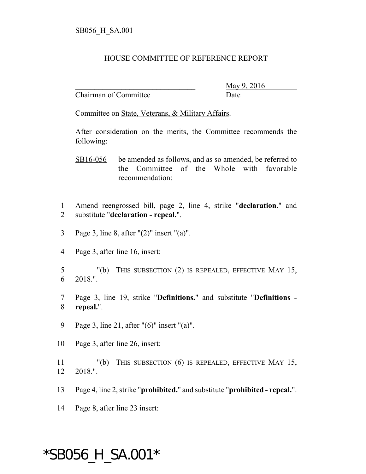## HOUSE COMMITTEE OF REFERENCE REPORT

Chairman of Committee Date

\_\_\_\_\_\_\_\_\_\_\_\_\_\_\_\_\_\_\_\_\_\_\_\_\_\_\_\_\_\_\_ May 9, 2016

Committee on State, Veterans, & Military Affairs.

After consideration on the merits, the Committee recommends the following:

SB16-056 be amended as follows, and as so amended, be referred to the Committee of the Whole with favorable recommendation:

1 Amend reengrossed bill, page 2, line 4, strike "**declaration.**" and 2 substitute "**declaration - repeal.**".

- 3 Page 3, line 8, after "(2)" insert "(a)".
- 4 Page 3, after line 16, insert:
- 5 "(b) THIS SUBSECTION (2) IS REPEALED, EFFECTIVE MAY 15, 6 2018.".
- 7 Page 3, line 19, strike "**Definitions.**" and substitute "**Definitions -** 8 **repeal.**".
- 9 Page 3, line 21, after "(6)" insert "(a)".
- 10 Page 3, after line 26, insert:

11 "(b) THIS SUBSECTION (6) IS REPEALED, EFFECTIVE MAY 15, 12 2018.".

- 13 Page 4, line 2, strike "**prohibited.**" and substitute "**prohibited repeal.**".
- 14 Page 8, after line 23 insert:

## \*SB056\_H\_SA.001\*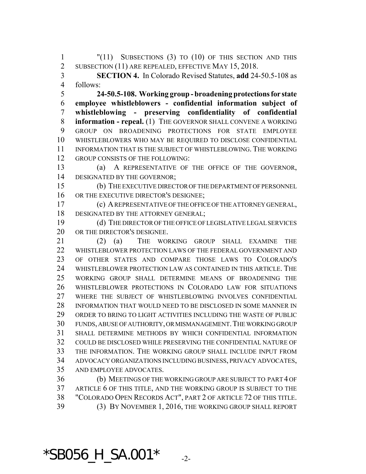"(11) SUBSECTIONS (3) TO (10) OF THIS SECTION AND THIS 2 SUBSECTION (11) ARE REPEALED, EFFECTIVE MAY 15, 2018.

 **SECTION 4.** In Colorado Revised Statutes, **add** 24-50.5-108 as follows:

 **24-50.5-108. Working group - broadening protections for state employee whistleblowers - confidential information subject of whistleblowing - preserving confidentiality of confidential information - repeal.** (1) THE GOVERNOR SHALL CONVENE A WORKING GROUP ON BROADENING PROTECTIONS FOR STATE EMPLOYEE WHISTLEBLOWERS WHO MAY BE REQUIRED TO DISCLOSE CONFIDENTIAL INFORMATION THAT IS THE SUBJECT OF WHISTLEBLOWING. THE WORKING GROUP CONSISTS OF THE FOLLOWING:

 (a) A REPRESENTATIVE OF THE OFFICE OF THE GOVERNOR, DESIGNATED BY THE GOVERNOR;

 (b) THE EXECUTIVE DIRECTOR OF THE DEPARTMENT OF PERSONNEL 16 OR THE EXECUTIVE DIRECTOR'S DESIGNEE;

 (c) A REPRESENTATIVE OF THE OFFICE OF THE ATTORNEY GENERAL, 18 DESIGNATED BY THE ATTORNEY GENERAL;

 (d) THE DIRECTOR OF THE OFFICE OF LEGISLATIVE LEGAL SERVICES OR THE DIRECTOR'S DESIGNEE.

 (2) (a) THE WORKING GROUP SHALL EXAMINE THE 22 WHISTLEBLOWER PROTECTION LAWS OF THE FEDERAL GOVERNMENT AND OF OTHER STATES AND COMPARE THOSE LAWS TO COLORADO'S WHISTLEBLOWER PROTECTION LAW AS CONTAINED IN THIS ARTICLE. THE WORKING GROUP SHALL DETERMINE MEANS OF BROADENING THE WHISTLEBLOWER PROTECTIONS IN COLORADO LAW FOR SITUATIONS WHERE THE SUBJECT OF WHISTLEBLOWING INVOLVES CONFIDENTIAL INFORMATION THAT WOULD NEED TO BE DISCLOSED IN SOME MANNER IN ORDER TO BRING TO LIGHT ACTIVITIES INCLUDING THE WASTE OF PUBLIC FUNDS, ABUSE OF AUTHORITY, OR MISMANAGEMENT.THE WORKING GROUP SHALL DETERMINE METHODS BY WHICH CONFIDENTIAL INFORMATION COULD BE DISCLOSED WHILE PRESERVING THE CONFIDENTIAL NATURE OF THE INFORMATION. THE WORKING GROUP SHALL INCLUDE INPUT FROM ADVOCACY ORGANIZATIONS INCLUDING BUSINESS, PRIVACY ADVOCATES, AND EMPLOYEE ADVOCATES.

 (b) MEETINGS OF THE WORKING GROUP ARE SUBJECT TO PART 4 OF ARTICLE 6 OF THIS TITLE, AND THE WORKING GROUP IS SUBJECT TO THE "COLORADO OPEN RECORDS ACT", PART 2 OF ARTICLE 72 OF THIS TITLE. (3) BY NOVEMBER 1, 2016, THE WORKING GROUP SHALL REPORT

 $*$ SB056\_H\_SA.001 $*$ <sub>-2-</sub>